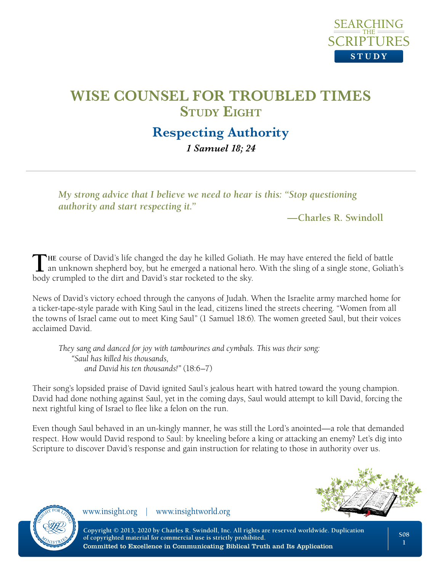

#### **Respecting Authority** *1 Samuel 18; 24*

*My strong advice that I believe we need to hear is this: "Stop questioning authority and start respecting it."*

#### **—Charles R. Swindoll**

THE course of David's life changed the day he killed Goliath. He may have entered the field of battle an unknown shepherd boy, but he emerged a national hero. With the sling of a single stone, Goliath's body crumpled to the dirt and David's star rocketed to the sky.

News of David's victory echoed through the canyons of Judah. When the Israelite army marched home for a ticker-tape-style parade with King Saul in the lead, citizens lined the streets cheering. "Women from all the towns of Israel came out to meet King Saul" (1 Samuel 18:6). The women greeted Saul, but their voices acclaimed David.

*They sang and danced for joy with tambourines and cymbals. This was their song: "Saul has killed his thousands, and David his ten thousands!"* (18:6–7)

Their song's lopsided praise of David ignited Saul's jealous heart with hatred toward the young champion. David had done nothing against Saul, yet in the coming days, Saul would attempt to kill David, forcing the next rightful king of Israel to flee like a felon on the run.

Even though Saul behaved in an un-kingly manner, he was still the Lord's anointed—a role that demanded respect. How would David respond to Saul: by kneeling before a king or attacking an enemy? Let's dig into Scripture to discover David's response and gain instruction for relating to those in authority over us.





www.insight.org | www.insightworld.org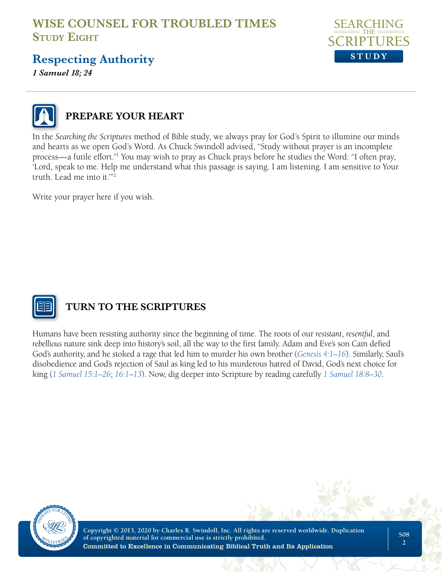

## **Respecting Authority**

*1 Samuel 18; 24*



#### **PREPARE YOUR HEART**

In the *Searching the Scriptures* method of Bible study, we always pray for God's Spirit to illumine our minds and hearts as we open God's Word. As Chuck Swindoll advised, "Study without prayer is an incomplete process—a futile effort."1 You may wish to pray as Chuck prays before he studies the Word: "I often pray, 'Lord, speak to me. Help me understand what this passage is saying. I am listening. I am sensitive to Your truth. Lead me into it.'"2

Write your prayer here if you wish.



## **TURN TO THE SCRIPTURES**

Humans have been resisting authority since the beginning of time. The roots of our *resistant*, *resentful*, and *rebellious* nature sink deep into history's soil, all the way to the first family. Adam and Eve's son Cain defied God's authority, and he stoked a rage that led him to murder his own brother (*[Genesis 4:1–16](https://www.biblegateway.com/passage/?search=gen+4%3A1-16&version=NLT)*). Similarly, Saul's disobedience and God's rejection of Saul as king led to his murderous hatred of David, God's next choice for king (*[1 Samuel 15:1–26](https://www.biblegateway.com/passage/?search=1+sam+15%3A1-26&version=NLT)*; *[16:1–13](https://www.biblegateway.com/passage/?search=1+sam+16%3A1-13&version=NLT)*). Now, dig deeper into Scripture by reading carefully *[1 Samuel 18:8–30](https://www.biblegateway.com/passage/?search=1+sam+18%3A8-30&version=NLT)*.

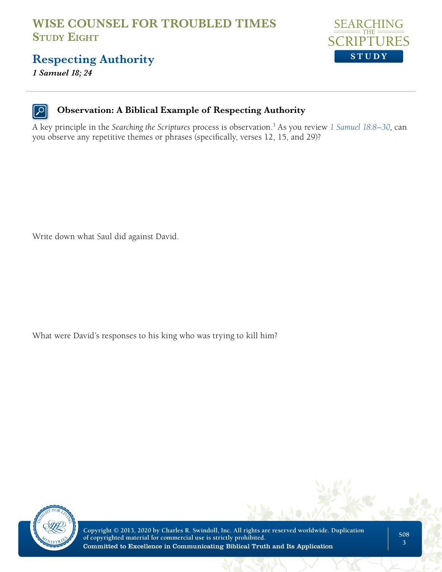

## **Respecting Authority**

*1 Samuel 18; 24*

#### **Observation: A Biblical Example of Respecting Authority**

A key principle in the *Searching the Scriptures* process is observation.3 As you review *[1 Samuel 18:8–30](https://www.biblegateway.com/passage/?search=1+sam+18%3A8-30&version=NLT)*, can you observe any repetitive themes or phrases (specifically, verses 12, 15, and 29)?

Write down what Saul did against David.

What were David's responses to his king who was trying to kill him?

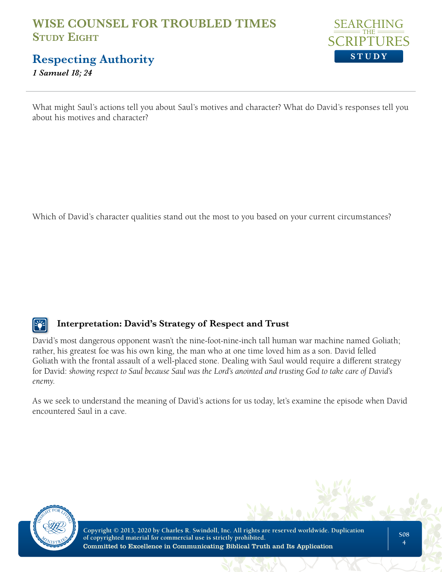

## **Respecting Authority**

*1 Samuel 18; 24*

What might Saul's actions tell you about Saul's motives and character? What do David's responses tell you about his motives and character?

Which of David's character qualities stand out the most to you based on your current circumstances?

#### **Interpretation: David's Strategy of Respect and Trust**

David's most dangerous opponent wasn't the nine-foot-nine-inch tall human war machine named Goliath; rather, his greatest foe was his own king, the man who at one time loved him as a son. David felled Goliath with the frontal assault of a well-placed stone. Dealing with Saul would require a different strategy for David: *showing respect to Saul because Saul was the Lord's anointed and trusting God to take care of David's enemy*.

As we seek to understand the meaning of David's actions for us today, let's examine the episode when David encountered Saul in a cave.

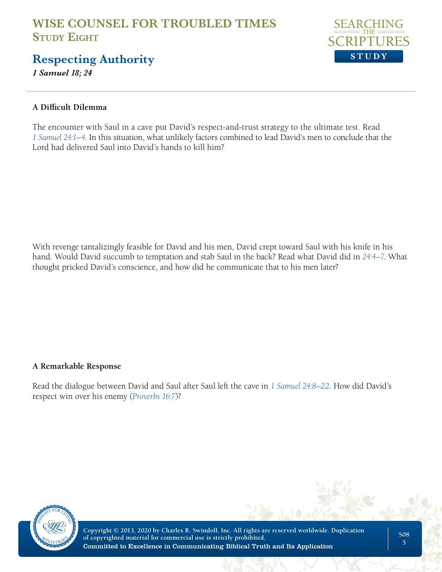

## **Respecting Authority**

*1 Samuel 18; 24*

#### **A Difficult Dilemma**

The encounter with Saul in a cave put David's respect-and-trust strategy to the ultimate test. Read *[1 Samuel 24:1–4](https://www.biblegateway.com/passage/?search=1+sam+24%3A1-4&version=NLT)*. In this situation, what unlikely factors combined to lead David's men to conclude that the Lord had delivered Saul into David's hands to kill him?

With revenge tantalizingly feasible for David and his men, David crept toward Saul with his knife in his hand. Would David succumb to temptation and stab Saul in the back? Read what David did in *[24:4–7](https://www.biblegateway.com/passage/?search=1+sam+24%3A4-7&version=NLT)*. What thought pricked David's conscience, and how did he communicate that to his men later?

#### **A Remarkable Response**

Read the dialogue between David and Saul after Saul left the cave in *[1 Samuel 24:8–22](https://www.biblegateway.com/passage/?search=1+sam+24%3A8-22&version=NLT)*. How did David's respect win over his enemy (*[Proverbs 16:7](https://www.biblegateway.com/passage/?search=prov+16%3A7&version=NLT)*)?

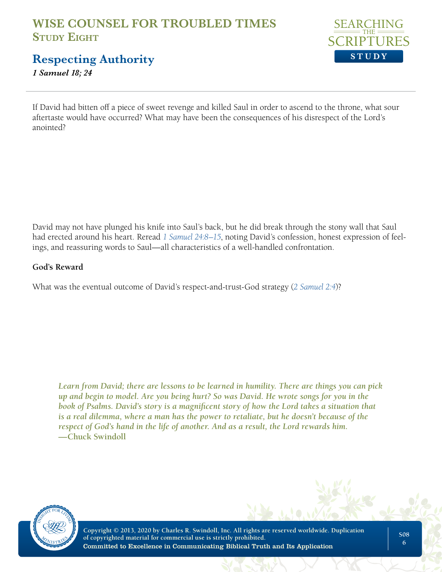

**Respecting Authority**

*1 Samuel 18; 24*

If David had bitten off a piece of sweet revenge and killed Saul in order to ascend to the throne, what sour aftertaste would have occurred? What may have been the consequences of his disrespect of the Lord's anointed?

David may not have plunged his knife into Saul's back, but he did break through the stony wall that Saul had erected around his heart. Reread *[1 Samuel 24:8–15](https://www.biblegateway.com/passage/?search=1+sam+24%3A8-15&version=NLT)*, noting David's confession, honest expression of feelings, and reassuring words to Saul—all characteristics of a well-handled confrontation.

#### **God's Reward**

What was the eventual outcome of David's respect-and-trust-God strategy (*[2 Samuel 2:4](https://www.biblegateway.com/passage/?search=2+Samuel+2%3A4&version=NLT)*)?

*Learn from David; there are lessons to be learned in humility. There are things you can pick up and begin to model. Are you being hurt? So was David. He wrote songs for you in the book of Psalms. David's story is a magnificent story of how the Lord takes a situation that is a real dilemma, where a man has the power to retaliate, but he doesn't because of the respect of God's hand in the life of another. And as a result, the Lord rewards him.*  **—Chuck Swindoll**

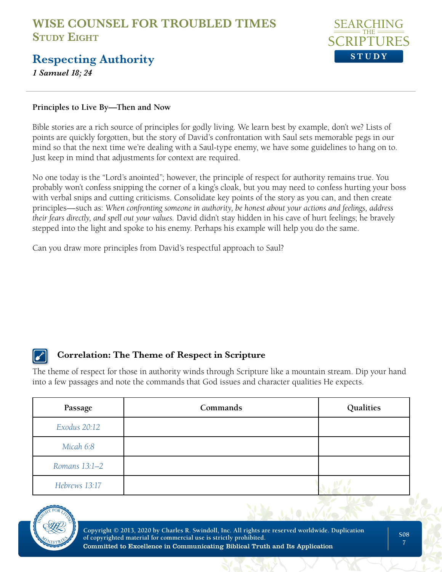

## **Respecting Authority**

*1 Samuel 18; 24*

#### **Principles to Live By—Then and Now**

Bible stories are a rich source of principles for godly living. We learn best by example, don't we? Lists of points are quickly forgotten, but the story of David's confrontation with Saul sets memorable pegs in our mind so that the next time we're dealing with a Saul-type enemy, we have some guidelines to hang on to. Just keep in mind that adjustments for context are required.

No one today is the "Lord's anointed"; however, the principle of respect for authority remains true. You probably won't confess snipping the corner of a king's cloak, but you may need to confess hurting your boss with verbal snips and cutting criticisms. Consolidate key points of the story as you can, and then create principles—such as: *When confronting someone in authority, be honest about your actions and feelings, address their fears directly, and spell out your values.* David didn't stay hidden in his cave of hurt feelings; he bravely stepped into the light and spoke to his enemy. Perhaps his example will help you do the same.

Can you draw more principles from David's respectful approach to Saul?

#### **Correlation: The Theme of Respect in Scripture**

The theme of respect for those in authority winds through Scripture like a mountain stream. Dip your hand into a few passages and note the commands that God issues and character qualities He expects.

| Passage       | Commands | Qualities |
|---------------|----------|-----------|
| Exodus 20:12  |          |           |
| Micah 6:8     |          |           |
| Romans 13:1-2 |          |           |
| Hebrews 13:17 |          |           |

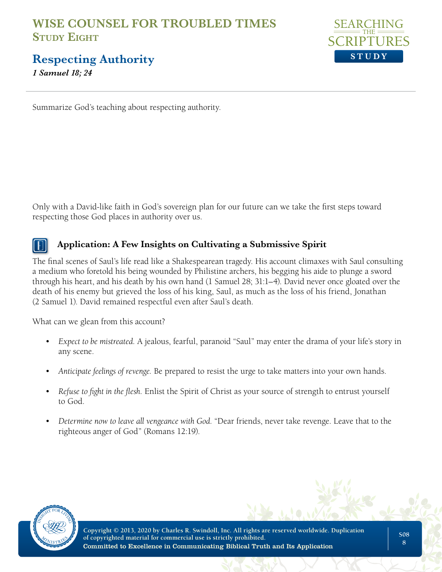

**Respecting Authority**

*1 Samuel 18; 24*

Summarize God's teaching about respecting authority.

Only with a David-like faith in God's sovereign plan for our future can we take the first steps toward respecting those God places in authority over us.

#### **Application: A Few Insights on Cultivating a Submissive Spirit**

The final scenes of Saul's life read like a Shakespearean tragedy. His account climaxes with Saul consulting a medium who foretold his being wounded by Philistine archers, his begging his aide to plunge a sword through his heart, and his death by his own hand (1 Samuel 28; 31:1–4). David never once gloated over the death of his enemy but grieved the loss of his king, Saul, as much as the loss of his friend, Jonathan (2 Samuel 1). David remained respectful even after Saul's death.

What can we glean from this account?

- *Expect to be mistreated.* A jealous, fearful, paranoid "Saul" may enter the drama of your life's story in any scene.
- *Anticipate feelings of revenge.* Be prepared to resist the urge to take matters into your own hands.
- *Refuse to fight in the flesh.* Enlist the Spirit of Christ as your source of strength to entrust yourself to God.
- *Determine now to leave all vengeance with God.* "Dear friends, never take revenge. Leave that to the righteous anger of God" (Romans 12:19).

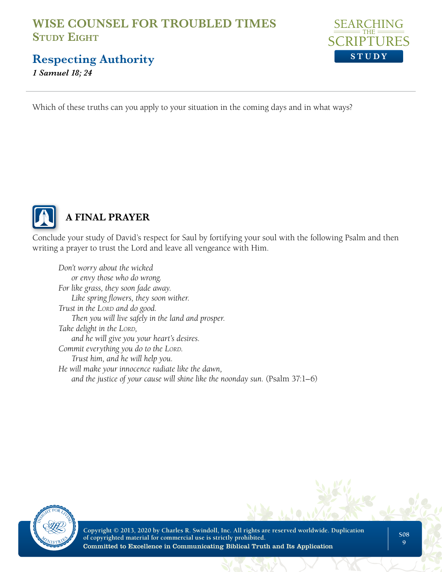

**Respecting Authority**

*1 Samuel 18; 24*

Which of these truths can you apply to your situation in the coming days and in what ways?



## **A FINAL PRAYER**

Conclude your study of David's respect for Saul by fortifying your soul with the following Psalm and then writing a prayer to trust the Lord and leave all vengeance with Him.

*Don't worry about the wicked or envy those who do wrong. For like grass, they soon fade away. Like spring flowers, they soon wither. Trust in the Lord and do good. Then you will live safely in the land and prosper. Take delight in the LORD*, *and he will give you your heart's desires. Commit everything you do to the LORD. Trust him, and he will help you. He will make your innocence radiate like the dawn, and the justice of your cause will shine like the noonday sun.* (Psalm 37:1–6)

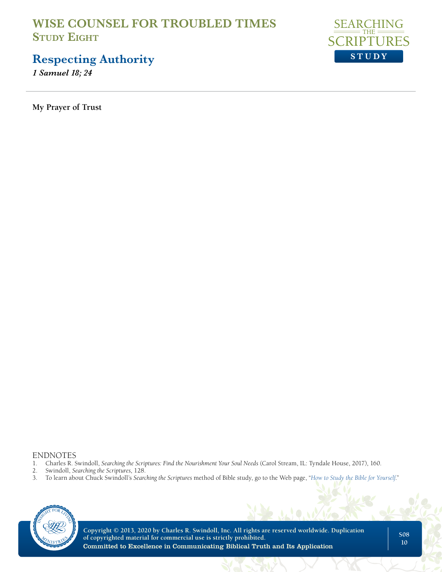

# **Respecting Authority**

*1 Samuel 18; 24*

**My Prayer of Trust**

# ENDNOTES<br>1. Charles R. S

- 1. Charles R. Swindoll, *Searching the Scriptures: Find the Nourishment Your Soul Needs* (Carol Stream, IL: Tyndale House, 2017), 160.
- 
- 2. Swindoll, *Searching the Scriptures*, 128. 3. To learn about Chuck Swindoll's *Searching the Scriptures* method of Bible study, go to the Web page, "*[How to Study the Bible for Yourself](https://sts.insight.org/)*."